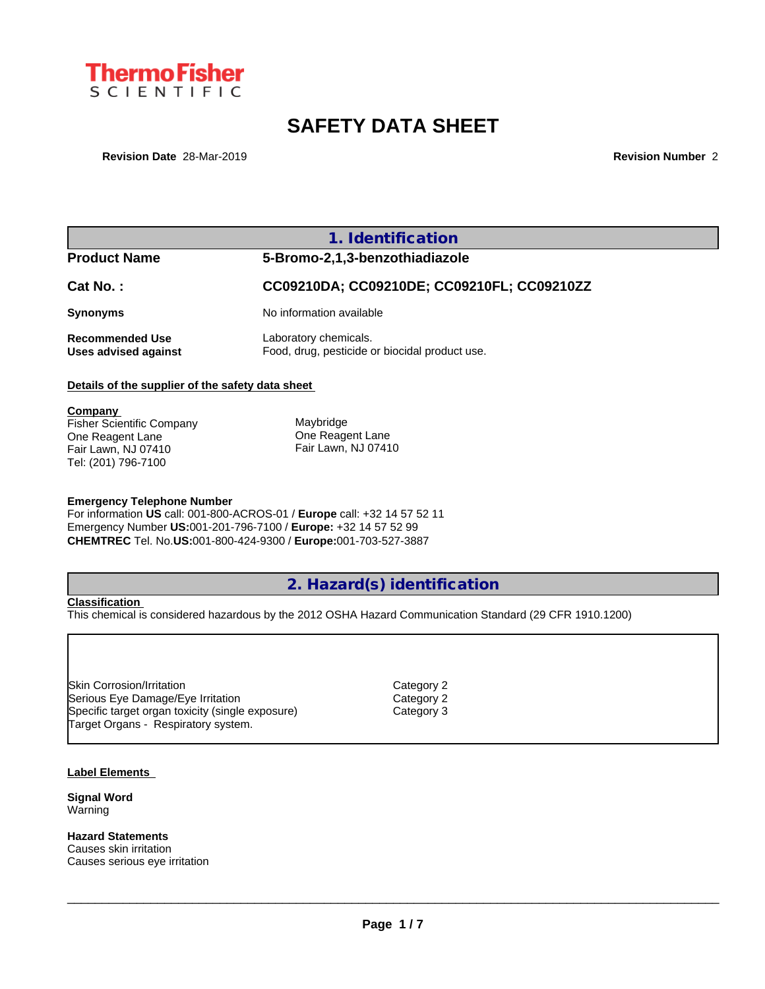

# **SAFETY DATA SHEET**

**Revision Date** 28-Mar-2019 **Revision Number** 2

## **1. Identification**

# **Product Name 5-Bromo-2,1,3-benzothiadiazole Cat No. : CC09210DA; CC09210DE; CC09210FL; CC09210ZZ Synonyms** No information available **Recommended Use** Laboratory chemicals.<br> **Uses advised against** Food, drug, pesticide of Food, drug, pesticide or biocidal product use.

## **Details of the supplier of the safety data sheet**

**Company**  Fisher Scientific Company One Reagent Lane Fair Lawn, NJ 07410 Tel: (201) 796-7100 **Maybridge** One Reagent Lane Fair Lawn, NJ 07410

### **Emergency Telephone Number**

For information **US** call: 001-800-ACROS-01 / **Europe** call: +32 14 57 52 11 Emergency Number **US:**001-201-796-7100 / **Europe:** +32 14 57 52 99 **CHEMTREC** Tel. No.**US:**001-800-424-9300 / **Europe:**001-703-527-3887

## **2. Hazard(s) identification**

#### **Classification**

This chemical is considered hazardous by the 2012 OSHA Hazard Communication Standard (29 CFR 1910.1200)

Skin Corrosion/Irritation Category 2 Serious Eye Damage/Eye Irritation Category 2 Specific target organ toxicity (single exposure) Category 3 Target Organs - Respiratory system.

#### **Label Elements**

**Signal Word** Warning

**Hazard Statements** Causes skin irritation Causes serious eye irritation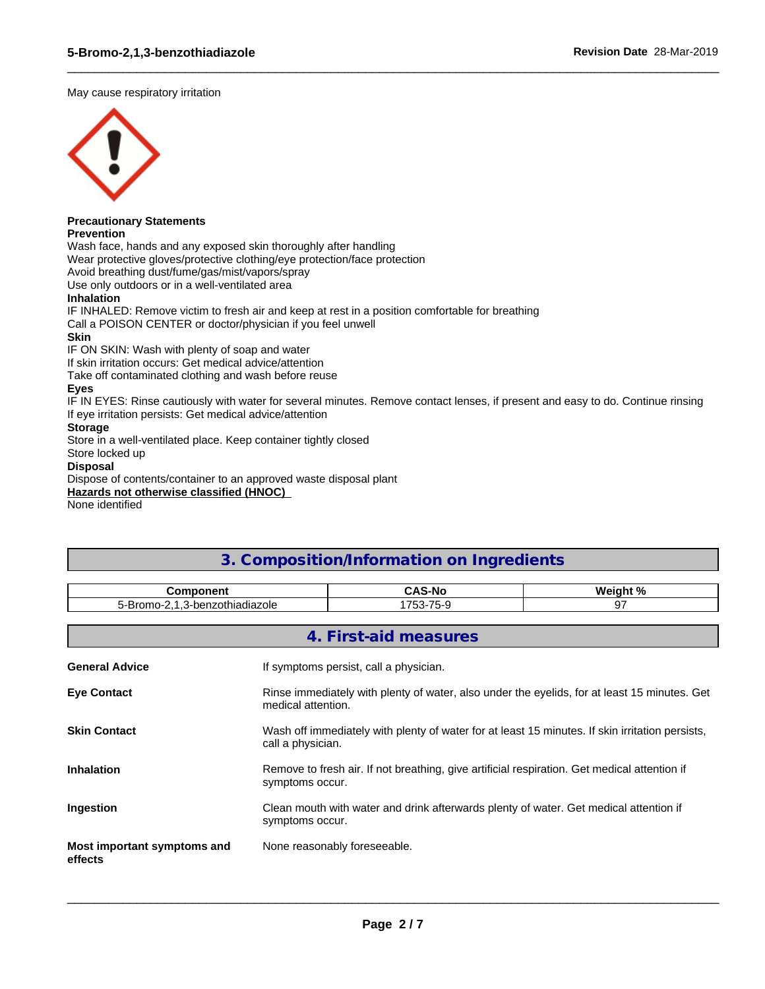May cause respiratory irritation



# **Precautionary Statements**

**Prevention**

Wash face, hands and any exposed skin thoroughly after handling

Wear protective gloves/protective clothing/eye protection/face protection

Avoid breathing dust/fume/gas/mist/vapors/spray

Use only outdoors or in a well-ventilated area

## **Inhalation**

IF INHALED: Remove victim to fresh air and keep at rest in a position comfortable for breathing

Call a POISON CENTER or doctor/physician if you feel unwell

## **Skin**

IF ON SKIN: Wash with plenty of soap and water

If skin irritation occurs: Get medical advice/attention

Take off contaminated clothing and wash before reuse

## **Eyes**

IF IN EYES: Rinse cautiously with water for several minutes. Remove contact lenses, if present and easy to do. Continue rinsing If eye irritation persists: Get medical advice/attention

 $\_$  ,  $\_$  ,  $\_$  ,  $\_$  ,  $\_$  ,  $\_$  ,  $\_$  ,  $\_$  ,  $\_$  ,  $\_$  ,  $\_$  ,  $\_$  ,  $\_$  ,  $\_$  ,  $\_$  ,  $\_$  ,  $\_$  ,  $\_$  ,  $\_$  ,  $\_$  ,  $\_$  ,  $\_$  ,  $\_$  ,  $\_$  ,  $\_$  ,  $\_$  ,  $\_$  ,  $\_$  ,  $\_$  ,  $\_$  ,  $\_$  ,  $\_$  ,  $\_$  ,  $\_$  ,  $\_$  ,  $\_$  ,  $\_$  ,

## **Storage**

Store in a well-ventilated place. Keep container tightly closed

## Store locked up

## **Disposal**

Dispose of contents/container to an approved waste disposal plant

### **Hazards not otherwise classified (HNOC)**

None identified

## **3. Composition/Information on Ingredients**

| <b>Component</b>                       |                                                                                                                      | <b>CAS-No</b>                          | Weight %<br>97 |  |  |  |  |
|----------------------------------------|----------------------------------------------------------------------------------------------------------------------|----------------------------------------|----------------|--|--|--|--|
| 5-Bromo-2,1,3-benzothiadiazole         |                                                                                                                      | 1753-75-9                              |                |  |  |  |  |
|                                        |                                                                                                                      |                                        |                |  |  |  |  |
|                                        |                                                                                                                      | 4. First-aid measures                  |                |  |  |  |  |
| <b>General Advice</b>                  |                                                                                                                      | If symptoms persist, call a physician. |                |  |  |  |  |
| <b>Eye Contact</b>                     | Rinse immediately with plenty of water, also under the eyelids, for at least 15 minutes. Get<br>medical attention.   |                                        |                |  |  |  |  |
| <b>Skin Contact</b>                    | Wash off immediately with plenty of water for at least 15 minutes. If skin irritation persists,<br>call a physician. |                                        |                |  |  |  |  |
| <b>Inhalation</b>                      | Remove to fresh air. If not breathing, give artificial respiration. Get medical attention if<br>symptoms occur.      |                                        |                |  |  |  |  |
| Ingestion                              | Clean mouth with water and drink afterwards plenty of water. Get medical attention if<br>symptoms occur.             |                                        |                |  |  |  |  |
| Most important symptoms and<br>effects |                                                                                                                      | None reasonably foreseeable.           |                |  |  |  |  |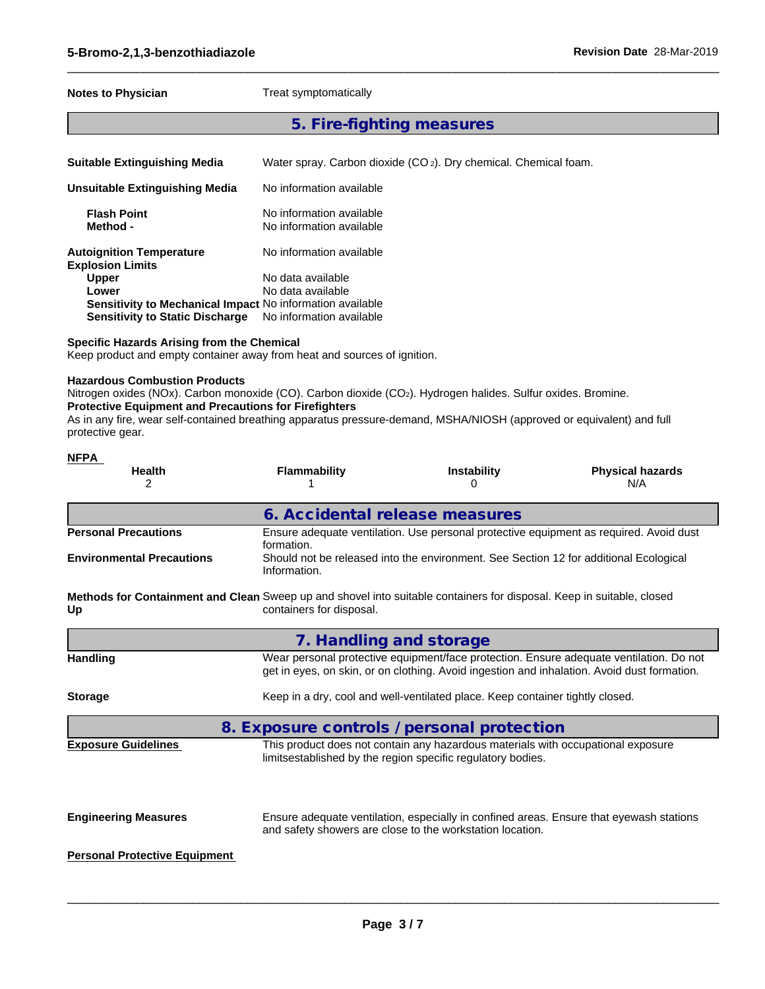### **Notes to Physician** Treat symptomatically

## **5. Fire-fighting measures**

 $\_$  ,  $\_$  ,  $\_$  ,  $\_$  ,  $\_$  ,  $\_$  ,  $\_$  ,  $\_$  ,  $\_$  ,  $\_$  ,  $\_$  ,  $\_$  ,  $\_$  ,  $\_$  ,  $\_$  ,  $\_$  ,  $\_$  ,  $\_$  ,  $\_$  ,  $\_$  ,  $\_$  ,  $\_$  ,  $\_$  ,  $\_$  ,  $\_$  ,  $\_$  ,  $\_$  ,  $\_$  ,  $\_$  ,  $\_$  ,  $\_$  ,  $\_$  ,  $\_$  ,  $\_$  ,  $\_$  ,  $\_$  ,  $\_$  ,

**Suitable Extinguishing Media** Water spray. Carbon dioxide (CO 2). Dry chemical. Chemical foam.

| Unsuitable Extinguishing Media                             | No information available                             |  |
|------------------------------------------------------------|------------------------------------------------------|--|
| <b>Flash Point</b><br>Method -                             | No information available<br>No information available |  |
| <b>Autoignition Temperature</b><br><b>Explosion Limits</b> | No information available                             |  |
| <b>Upper</b>                                               | No data available                                    |  |
| Lower                                                      | No data available                                    |  |
| Sensitivity to Mechanical Impact No information available  |                                                      |  |
| <b>Sensitivity to Static Discharge</b>                     | No information available                             |  |

### **Specific Hazards Arising from the Chemical**

Keep product and empty container away from heat and sources of ignition.

### **Hazardous Combustion Products**

Nitrogen oxides (NOx). Carbon monoxide (CO). Carbon dioxide (CO<sub>2</sub>). Hydrogen halides. Sulfur oxides. Bromine.

## **Protective Equipment and Precautions for Firefighters**

As in any fire, wear self-contained breathing apparatus pressure-demand, MSHA/NIOSH (approved or equivalent) and full protective gear.

| <b>NFPA</b><br><b>Health</b><br>$\overline{2}$ | <b>Flammability</b>                                                                                                                                      | <b>Instability</b><br>0                                                                                                                         | <b>Physical hazards</b><br>N/A                                                                                                                                                         |
|------------------------------------------------|----------------------------------------------------------------------------------------------------------------------------------------------------------|-------------------------------------------------------------------------------------------------------------------------------------------------|----------------------------------------------------------------------------------------------------------------------------------------------------------------------------------------|
|                                                | 6. Accidental release measures                                                                                                                           |                                                                                                                                                 |                                                                                                                                                                                        |
| <b>Personal Precautions</b>                    | formation.                                                                                                                                               |                                                                                                                                                 | Ensure adequate ventilation. Use personal protective equipment as required. Avoid dust                                                                                                 |
| <b>Environmental Precautions</b>               | Information.                                                                                                                                             | Should not be released into the environment. See Section 12 for additional Ecological                                                           |                                                                                                                                                                                        |
| Up                                             | <b>Methods for Containment and Clean</b> Sweep up and shovel into suitable containers for disposal. Keep in suitable, closed<br>containers for disposal. |                                                                                                                                                 |                                                                                                                                                                                        |
|                                                | 7. Handling and storage                                                                                                                                  |                                                                                                                                                 |                                                                                                                                                                                        |
| <b>Handling</b>                                |                                                                                                                                                          |                                                                                                                                                 | Wear personal protective equipment/face protection. Ensure adequate ventilation. Do not<br>get in eyes, on skin, or on clothing. Avoid ingestion and inhalation. Avoid dust formation. |
| <b>Storage</b>                                 |                                                                                                                                                          | Keep in a dry, cool and well-ventilated place. Keep container tightly closed.                                                                   |                                                                                                                                                                                        |
|                                                | 8. Exposure controls / personal protection                                                                                                               |                                                                                                                                                 |                                                                                                                                                                                        |
| <b>Exposure Guidelines</b>                     |                                                                                                                                                          | This product does not contain any hazardous materials with occupational exposure<br>limitsestablished by the region specific regulatory bodies. |                                                                                                                                                                                        |
| <b>Engineering Measures</b>                    |                                                                                                                                                          | and safety showers are close to the workstation location.                                                                                       | Ensure adequate ventilation, especially in confined areas. Ensure that eyewash stations                                                                                                |
| <b>Personal Protective Equipment</b>           |                                                                                                                                                          |                                                                                                                                                 |                                                                                                                                                                                        |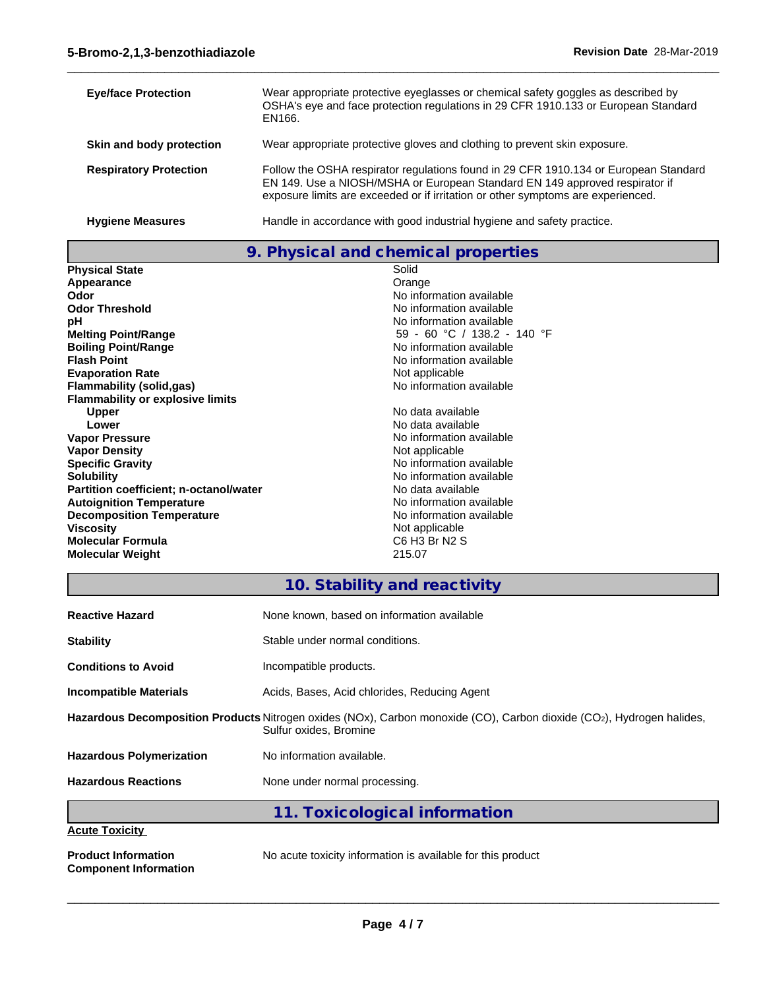**Component Information**

| <b>Eye/face Protection</b>    | Wear appropriate protective eyeglasses or chemical safety goggles as described by<br>OSHA's eye and face protection regulations in 29 CFR 1910.133 or European Standard<br>EN166.                                                                       |
|-------------------------------|---------------------------------------------------------------------------------------------------------------------------------------------------------------------------------------------------------------------------------------------------------|
| Skin and body protection      | Wear appropriate protective gloves and clothing to prevent skin exposure.                                                                                                                                                                               |
| <b>Respiratory Protection</b> | Follow the OSHA respirator regulations found in 29 CFR 1910.134 or European Standard<br>EN 149. Use a NIOSH/MSHA or European Standard EN 149 approved respirator if<br>exposure limits are exceeded or if irritation or other symptoms are experienced. |
| <b>Hygiene Measures</b>       | Handle in accordance with good industrial hygiene and safety practice.                                                                                                                                                                                  |

 $\_$  ,  $\_$  ,  $\_$  ,  $\_$  ,  $\_$  ,  $\_$  ,  $\_$  ,  $\_$  ,  $\_$  ,  $\_$  ,  $\_$  ,  $\_$  ,  $\_$  ,  $\_$  ,  $\_$  ,  $\_$  ,  $\_$  ,  $\_$  ,  $\_$  ,  $\_$  ,  $\_$  ,  $\_$  ,  $\_$  ,  $\_$  ,  $\_$  ,  $\_$  ,  $\_$  ,  $\_$  ,  $\_$  ,  $\_$  ,  $\_$  ,  $\_$  ,  $\_$  ,  $\_$  ,  $\_$  ,  $\_$  ,  $\_$  ,

**9. Physical and chemical properties**

| <b>Physical State</b>                         | Solid                       |
|-----------------------------------------------|-----------------------------|
| Appearance                                    | Orange                      |
| Odor                                          | No information available    |
| <b>Odor Threshold</b>                         | No information available    |
| рH                                            | No information available    |
| <b>Melting Point/Range</b>                    | 59 - 60 °C / 138.2 - 140 °F |
| <b>Boiling Point/Range</b>                    | No information available    |
| <b>Flash Point</b>                            | No information available    |
| <b>Evaporation Rate</b>                       | Not applicable              |
| Flammability (solid,gas)                      | No information available    |
| <b>Flammability or explosive limits</b>       |                             |
| <b>Upper</b>                                  | No data available           |
| Lower                                         | No data available           |
| <b>Vapor Pressure</b>                         | No information available    |
| <b>Vapor Density</b>                          | Not applicable              |
| <b>Specific Gravity</b>                       | No information available    |
| <b>Solubility</b>                             | No information available    |
| <b>Partition coefficient; n-octanol/water</b> | No data available           |
| <b>Autoignition Temperature</b>               | No information available    |
| <b>Decomposition Temperature</b>              | No information available    |
| <b>Viscosity</b>                              | Not applicable              |
| <b>Molecular Formula</b>                      | C6 H3 Br N2 S               |
| <b>Molecular Weight</b>                       | 215.07                      |

**10. Stability and reactivity**

| <b>Reactive Hazard</b>          | None known, based on information available                                                                                                      |
|---------------------------------|-------------------------------------------------------------------------------------------------------------------------------------------------|
| <b>Stability</b>                | Stable under normal conditions.                                                                                                                 |
| <b>Conditions to Avoid</b>      | Incompatible products.                                                                                                                          |
| <b>Incompatible Materials</b>   | Acids, Bases, Acid chlorides, Reducing Agent                                                                                                    |
|                                 | Hazardous Decomposition Products Nitrogen oxides (NOx), Carbon monoxide (CO), Carbon dioxide (CO2), Hydrogen halides,<br>Sulfur oxides, Bromine |
| <b>Hazardous Polymerization</b> | No information available.                                                                                                                       |
| <b>Hazardous Reactions</b>      | None under normal processing.                                                                                                                   |
|                                 | 11. Toxicological information                                                                                                                   |
| <b>Acute Toxicity</b>           |                                                                                                                                                 |
| <b>Product Information</b>      | No acute toxicity information is available for this product                                                                                     |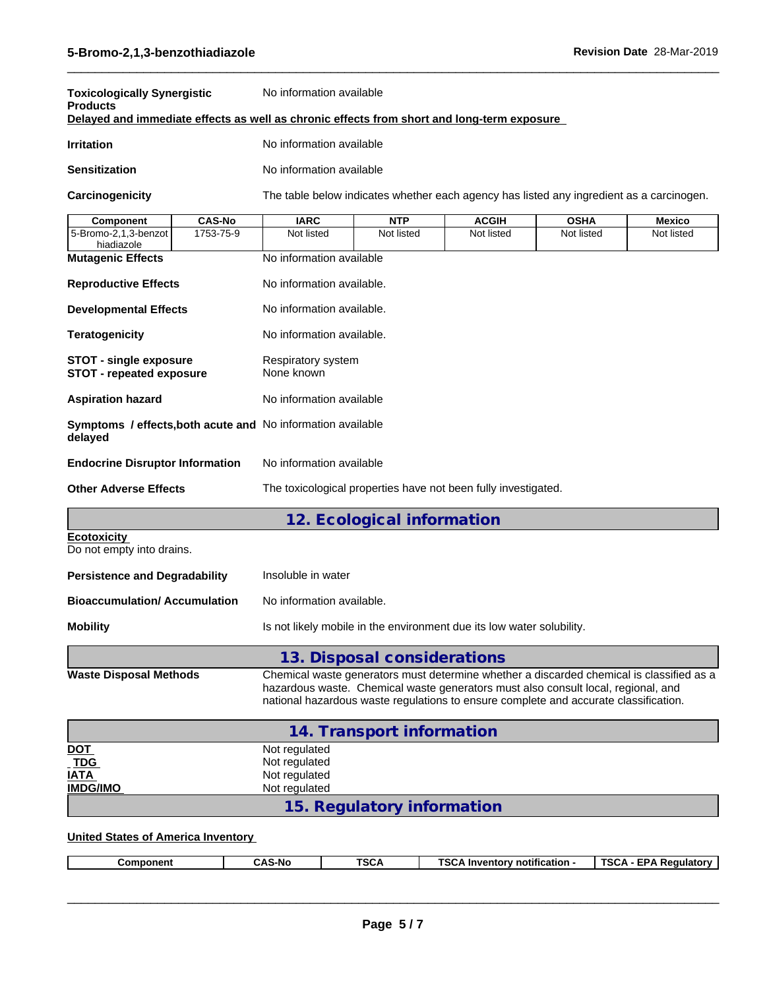| <b>Toxicologically Synergistic</b><br><b>Products</b>                                      |               | No information available               |                            |                                                                                          |             |               |  |  |  |  |
|--------------------------------------------------------------------------------------------|---------------|----------------------------------------|----------------------------|------------------------------------------------------------------------------------------|-------------|---------------|--|--|--|--|
| Delayed and immediate effects as well as chronic effects from short and long-term exposure |               |                                        |                            |                                                                                          |             |               |  |  |  |  |
| <b>Irritation</b>                                                                          |               |                                        | No information available   |                                                                                          |             |               |  |  |  |  |
| <b>Sensitization</b>                                                                       |               | No information available               |                            |                                                                                          |             |               |  |  |  |  |
| Carcinogenicity                                                                            |               |                                        |                            | The table below indicates whether each agency has listed any ingredient as a carcinogen. |             |               |  |  |  |  |
| Component                                                                                  | <b>CAS-No</b> | <b>IARC</b>                            | <b>NTP</b>                 | <b>ACGIH</b>                                                                             | <b>OSHA</b> | <b>Mexico</b> |  |  |  |  |
| 5-Bromo-2,1,3-benzot<br>hiadiazole                                                         | 1753-75-9     | Not listed                             | Not listed                 | Not listed                                                                               | Not listed  | Not listed    |  |  |  |  |
| <b>Mutagenic Effects</b>                                                                   |               | No information available               |                            |                                                                                          |             |               |  |  |  |  |
| <b>Reproductive Effects</b>                                                                |               | No information available.              |                            |                                                                                          |             |               |  |  |  |  |
| <b>Developmental Effects</b>                                                               |               | No information available.              |                            |                                                                                          |             |               |  |  |  |  |
| <b>Teratogenicity</b>                                                                      |               | No information available.              |                            |                                                                                          |             |               |  |  |  |  |
| <b>STOT - single exposure</b><br><b>STOT - repeated exposure</b>                           |               | Respiratory system<br>None known       |                            |                                                                                          |             |               |  |  |  |  |
| <b>Aspiration hazard</b>                                                                   |               | No information available               |                            |                                                                                          |             |               |  |  |  |  |
| <b>Symptoms / effects, both acute and No information available</b><br>delayed              |               |                                        |                            |                                                                                          |             |               |  |  |  |  |
| <b>Endocrine Disruptor Information</b>                                                     |               | No information available               |                            |                                                                                          |             |               |  |  |  |  |
| <b>Other Adverse Effects</b>                                                               |               |                                        |                            | The toxicological properties have not been fully investigated.                           |             |               |  |  |  |  |
|                                                                                            |               |                                        | 12. Ecological information |                                                                                          |             |               |  |  |  |  |
| <b>Ecotoxicity</b><br>Do not empty into drains.                                            |               |                                        |                            |                                                                                          |             |               |  |  |  |  |
| <b>Persistence and Degradability</b>                                                       |               | Insoluble in water                     |                            |                                                                                          |             |               |  |  |  |  |
| Black and detect and Associated and                                                        |               | All a characterizations are contracted |                            |                                                                                          |             |               |  |  |  |  |

| Bioaccumulation/ Accumulation | No information available.                                             |
|-------------------------------|-----------------------------------------------------------------------|
| Mobility                      | Is not likely mobile in the environment due its low water solubility. |

**13. Disposal considerations Waste Disposal Methods** Chemical waste generators must determine whether a discarded chemical is classified as a hazardous waste. Chemical waste generators must also consult local, regional, and national hazardous waste regulations to ensure complete and accurate classification.

|                           | 14. Transport information  |
|---------------------------|----------------------------|
| <u>DOT</u><br>TDG<br>IATA | Not regulated              |
|                           | Not regulated              |
|                           | Not regulated              |
| <b>IMDG/IMO</b>           | Not regulated              |
|                           | 15. Regulatory information |

## **United States of America Inventory**

|--|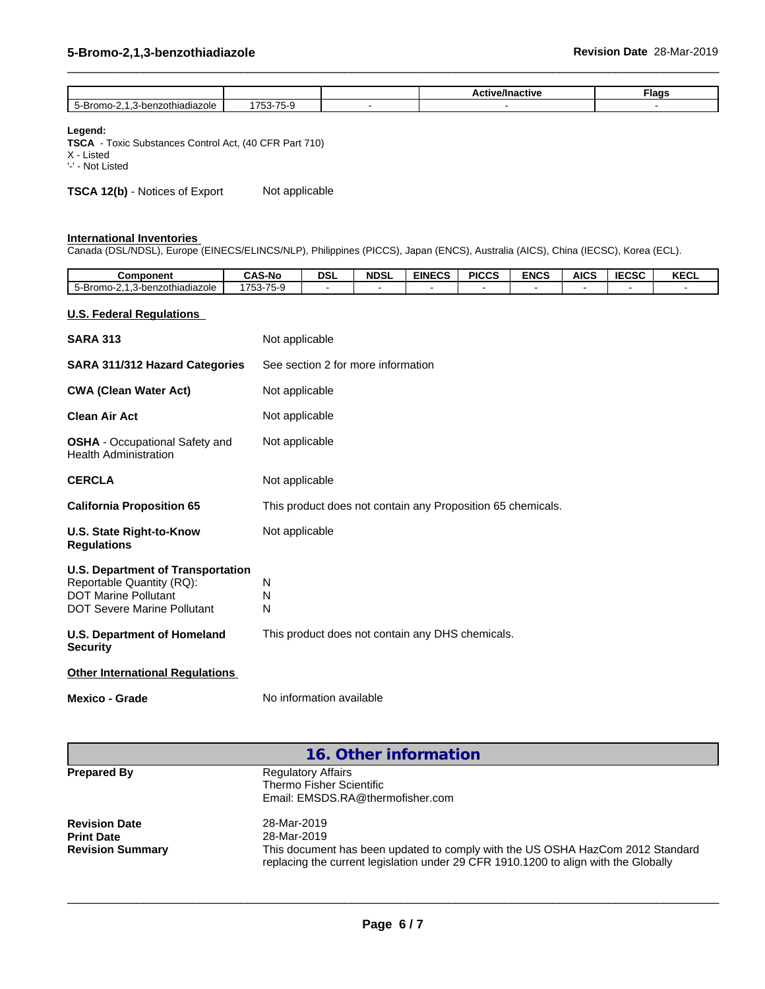|                              |                                                                            | .<br>active<br><br>− ∪<br><br>. | ™lags |
|------------------------------|----------------------------------------------------------------------------|---------------------------------|-------|
| zothiadiazole<br>.omo-<br>∼- | $\rightarrow$ $\rightarrow$<br>7 <sup>2</sup><br>╮<br>--<br>$\overline{ }$ |                                 |       |

 $\_$  ,  $\_$  ,  $\_$  ,  $\_$  ,  $\_$  ,  $\_$  ,  $\_$  ,  $\_$  ,  $\_$  ,  $\_$  ,  $\_$  ,  $\_$  ,  $\_$  ,  $\_$  ,  $\_$  ,  $\_$  ,  $\_$  ,  $\_$  ,  $\_$  ,  $\_$  ,  $\_$  ,  $\_$  ,  $\_$  ,  $\_$  ,  $\_$  ,  $\_$  ,  $\_$  ,  $\_$  ,  $\_$  ,  $\_$  ,  $\_$  ,  $\_$  ,  $\_$  ,  $\_$  ,  $\_$  ,  $\_$  ,  $\_$  ,

## **Legend:**

**TSCA** - Toxic Substances Control Act, (40 CFR Part 710) X - Listed

'-' - Not Listed

**TSCA 12(b)** - Notices of Export Not applicable

#### **International Inventories**

Canada (DSL/NDSL), Europe (EINECS/ELINCS/NLP), Philippines (PICCS), Japan (ENCS), Australia (AICS), China (IECSC), Korea (ECL).

| Component                                                                                                                                  | <b>CAS-No</b>  | <b>DSL</b>               | <b>NDSL</b>                        | <b>EINECS</b>                                               | <b>PICCS</b> | <b>ENCS</b> | <b>AICS</b> | <b>IECSC</b> | <b>KECL</b> |
|--------------------------------------------------------------------------------------------------------------------------------------------|----------------|--------------------------|------------------------------------|-------------------------------------------------------------|--------------|-------------|-------------|--------------|-------------|
| 5-Bromo-2,1,3-benzothiadiazole                                                                                                             | 1753-75-9      |                          |                                    |                                                             |              |             |             |              |             |
| <b>U.S. Federal Regulations</b>                                                                                                            |                |                          |                                    |                                                             |              |             |             |              |             |
| <b>SARA 313</b>                                                                                                                            | Not applicable |                          |                                    |                                                             |              |             |             |              |             |
| SARA 311/312 Hazard Categories                                                                                                             |                |                          | See section 2 for more information |                                                             |              |             |             |              |             |
| <b>CWA (Clean Water Act)</b>                                                                                                               | Not applicable |                          |                                    |                                                             |              |             |             |              |             |
| <b>Clean Air Act</b>                                                                                                                       | Not applicable |                          |                                    |                                                             |              |             |             |              |             |
| <b>OSHA</b> - Occupational Safety and<br><b>Health Administration</b>                                                                      | Not applicable |                          |                                    |                                                             |              |             |             |              |             |
| <b>CERCLA</b>                                                                                                                              | Not applicable |                          |                                    |                                                             |              |             |             |              |             |
| <b>California Proposition 65</b>                                                                                                           |                |                          |                                    | This product does not contain any Proposition 65 chemicals. |              |             |             |              |             |
| <b>U.S. State Right-to-Know</b><br><b>Regulations</b>                                                                                      | Not applicable |                          |                                    |                                                             |              |             |             |              |             |
| <b>U.S. Department of Transportation</b><br>Reportable Quantity (RQ):<br><b>DOT Marine Pollutant</b><br><b>DOT Severe Marine Pollutant</b> | N<br>N<br>N    |                          |                                    |                                                             |              |             |             |              |             |
| <b>U.S. Department of Homeland</b><br><b>Security</b>                                                                                      |                |                          |                                    | This product does not contain any DHS chemicals.            |              |             |             |              |             |
| <b>Other International Regulations</b>                                                                                                     |                |                          |                                    |                                                             |              |             |             |              |             |
| <b>Mexico - Grade</b>                                                                                                                      |                | No information available |                                    |                                                             |              |             |             |              |             |
|                                                                                                                                            |                |                          |                                    |                                                             |              |             |             |              |             |

| 16. Other information                                                                                                                                                 |
|-----------------------------------------------------------------------------------------------------------------------------------------------------------------------|
| <b>Regulatory Affairs</b>                                                                                                                                             |
| Thermo Fisher Scientific                                                                                                                                              |
| Email: EMSDS.RA@thermofisher.com                                                                                                                                      |
| 28-Mar-2019                                                                                                                                                           |
| 28-Mar-2019                                                                                                                                                           |
| This document has been updated to comply with the US OSHA HazCom 2012 Standard<br>replacing the current legislation under 29 CFR 1910.1200 to align with the Globally |
|                                                                                                                                                                       |